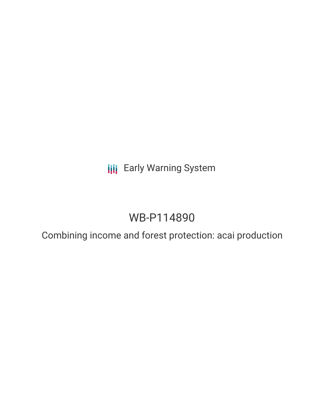**III** Early Warning System

# WB-P114890

Combining income and forest protection: acai production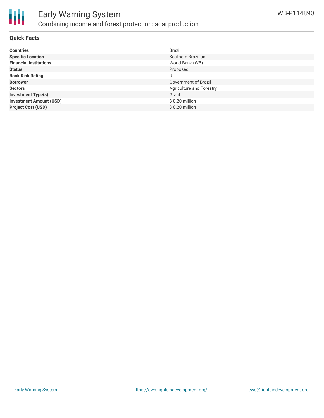

#### **Quick Facts**

| <b>Countries</b>               | <b>Brazil</b>                   |
|--------------------------------|---------------------------------|
| <b>Specific Location</b>       | Southern Brazilian              |
| <b>Financial Institutions</b>  | World Bank (WB)                 |
| <b>Status</b>                  | Proposed                        |
| <b>Bank Risk Rating</b>        | U                               |
| <b>Borrower</b>                | Government of Brazil            |
| <b>Sectors</b>                 | <b>Agriculture and Forestry</b> |
| <b>Investment Type(s)</b>      | Grant                           |
| <b>Investment Amount (USD)</b> | \$0.20 million                  |
| <b>Project Cost (USD)</b>      | $$0.20$ million                 |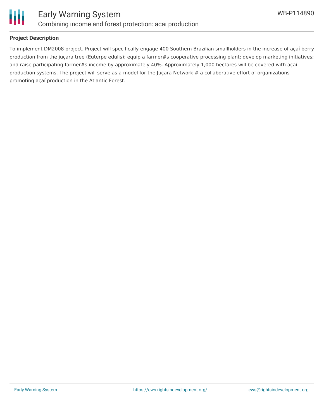

# **Project Description**

To implement DM2008 project. Project will specifically engage 400 Southern Brazilian smallholders in the increase of açaí berry production from the juçara tree (Euterpe edulis); equip a farmer#s cooperative processing plant; develop marketing initiatives; and raise participating farmer#s income by approximately 40%. Approximately 1,000 hectares will be covered with açaí production systems. The project will serve as a model for the Juçara Network # a collaborative effort of organizations promoting açaí production in the Atlantic Forest.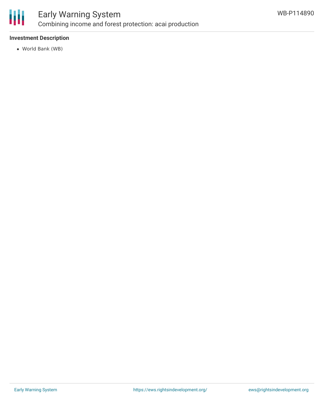

# Early Warning System Combining income and forest protection: acai production

# **Investment Description**

World Bank (WB)